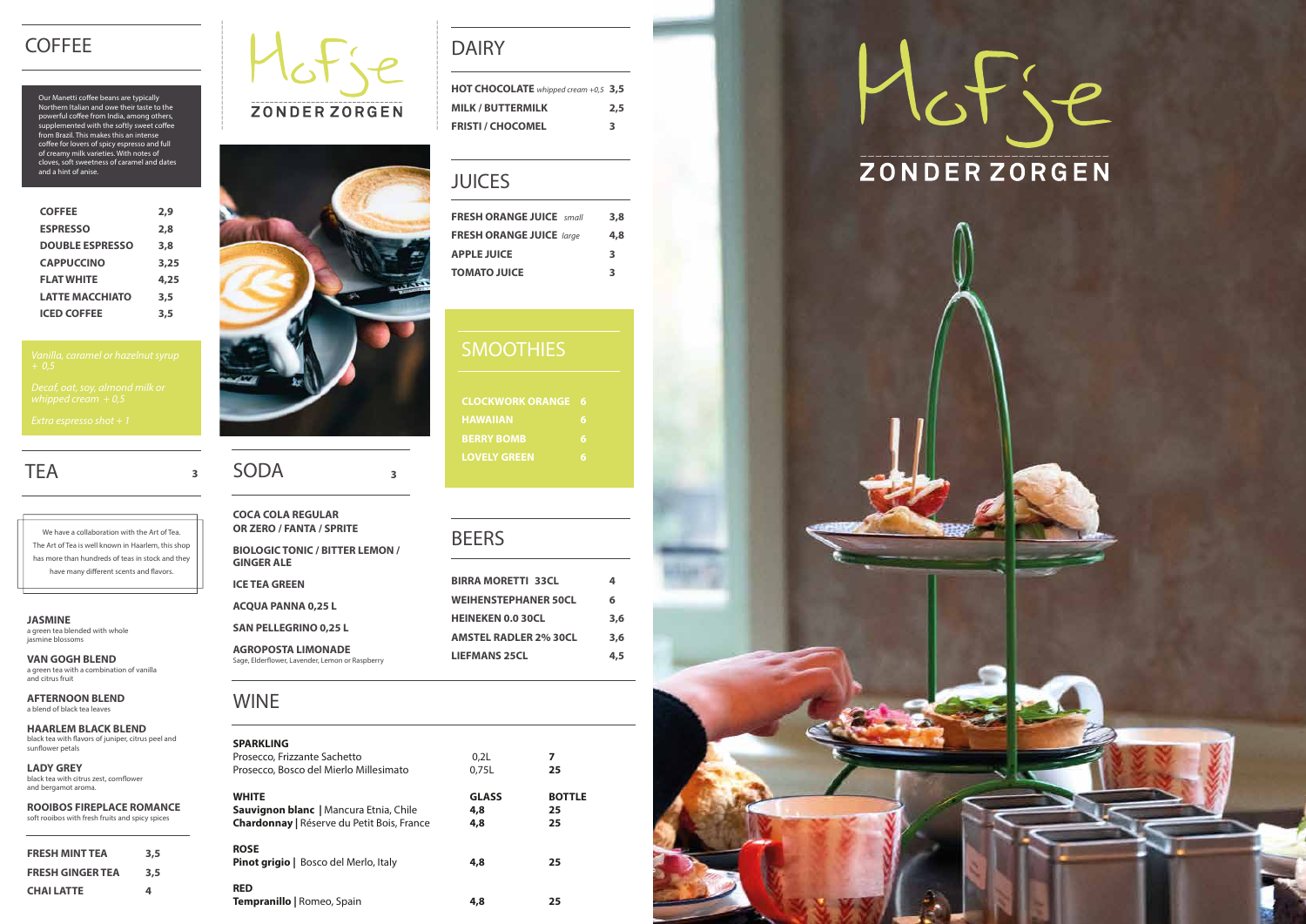| HOT CHOCOLATE whipped cream +0,5 3,5 |     |
|--------------------------------------|-----|
| <b>MILK / BUTTERMILK</b>             | 2.5 |
| <b>FRISTI / CHOCOMEL</b>             | З   |

## DAIRY

| 3.8 |
|-----|
| 4.8 |
| 3   |
| 3   |
|     |

## **SMOOTHIES**

## JUICES

**CLOCKWORK ORANGE 6 BERRY BOMB 6 LOVELY GREEN 6**

## **BEERS**

| <b>SPARKLING</b><br>Prosecco, Frizzante Sachetto<br>Prosecco, Bosco del Mierlo Millesimato                  | 0.2 <sub>L</sub><br>0.75L  | 7<br>25                   |
|-------------------------------------------------------------------------------------------------------------|----------------------------|---------------------------|
| <b>WHITE</b><br><b>Sauvignon blanc</b>   Mancura Etnia, Chile<br>Chardonnay   Réserve du Petit Bois, France | <b>GLASS</b><br>4,8<br>4,8 | <b>BOTTLE</b><br>25<br>25 |
| <b>ROSE</b><br>Pinot grigio   Bosco del Merlo, Italy                                                        | 4,8                        | 25                        |
| <b>RED</b><br><b>Tempranillo</b>   Romeo, Spain                                                             | 4,8                        | 25                        |

## **COFFEE**

Our Manetti coffee beans are typically Northern Italian and owe their taste to the powerful coffee from India, among others, supplemented with the softly sweet coffee from Brazil. This makes this an intense coffee for lovers of spicy espresso and full of creamy milk varieties. With notes of cloves, soft sweetness of caramel and dates and a hint of anise.

## WINE

| <b>COFFEE</b>          | 2,9  |
|------------------------|------|
| <b>ESPRESSO</b>        | 2,8  |
| <b>DOUBLE ESPRESSO</b> | 3,8  |
| <b>CAPPUCCINO</b>      | 3,25 |
| <b>FLAT WHITE</b>      | 4,25 |
| <b>LATTE MACCHIATO</b> | 3,5  |
| <b>ICED COFFEE</b>     | 3.5  |

# **TEA**

We have a collaboration with the Art of Tea. The Art of Tea is well known in Haarlem, this shop has more than hundreds of teas in stock and they have many different scents and flavors.

**HAARLEM BLACK BLEND** black tea with flavors of juniper, citrus peel and sunflower petals

**AGROPOSTA LIMONADE**  Sage, Elderflower, Lavender, Lemon or Raspberry

| <b>BIRRA MORETTI 33CL</b>    | 4   |
|------------------------------|-----|
| <b>WEIHENSTEPHANER 50CL</b>  | 6   |
| <b>HEINEKEN 0.0 30CL</b>     | 3.6 |
| <b>AMSTEL RADLER 2% 30CL</b> | 3.6 |
| <b>LIEFMANS 25CL</b>         | 4.5 |
|                              |     |

# Hofse







**JASMINE** a green tea blended with whole jasmine blossoms

**VAN GOGH BLEND** a green tea with a combination of vanilla and citrus fruit

**AFTERNOON BLEND** a blend of black tea leaves

**LADY GREY** black tea with citrus zest, cornflower and bergamot aroma.

| <b>ROOIBOS FIREPLACE ROMANCE</b>                |  |
|-------------------------------------------------|--|
| soft rooibos with fresh fruits and spicy spices |  |

| <b>FRESH MINT TEA</b>   | 3.5 |
|-------------------------|-----|
| <b>FRESH GINGER TEA</b> | 3.5 |
| <b>CHAILATTE</b>        | 4   |





# **<sup>3</sup>** SODA **<sup>3</sup>**

**COCA COLA REGULAR OR ZERO / FANTA / SPRITE**

**BIOLOGIC TONIC / BITTER LEMON / GINGER ALE**

**ICE TEA GREEN** 

**ACQUA PANNA 0,25 L** 

**SAN PELLEGRINO 0,25 L**